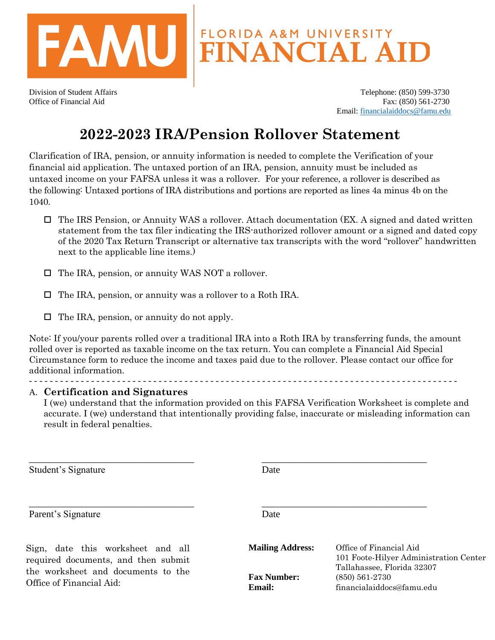

Division of Student Affairs Telephone: (850) 599-3730 Office of Financial Aid Fax: (850) 561-2730 Email: [financialaiddocs@famu.edu](mailto:financialaiddocs@famu.edu)

## **2022-2023 IRA/Pension Rollover Statement**

Clarification of IRA, pension, or annuity information is needed to complete the Verification of your financial aid application. The untaxed portion of an IRA, pension, annuity must be included as untaxed income on your FAFSA unless it was a rollover. For your reference, a rollover is described as the following: Untaxed portions of IRA distributions and portions are reported as lines 4a minus 4b on the 1040.

- $\Box$  The IRS Pension, or Annuity WAS a rollover. Attach documentation (EX. A signed and dated written statement from the tax filer indicating the IRS-authorized rollover amount or a signed and dated copy of the 2020 Tax Return Transcript or alternative tax transcripts with the word "rollover" handwritten next to the applicable line items.)
- □ The IRA, pension, or annuity WAS NOT a rollover.
- The IRA, pension, or annuity was a rollover to a Roth IRA.
- $\Box$  The IRA, pension, or annuity do not apply.

Note: If you/your parents rolled over a traditional IRA into a Roth IRA by transferring funds, the amount rolled over is reported as taxable income on the tax return. You can complete a Financial Aid Special Circumstance form to reduce the income and taxes paid due to the rollover. Please contact our office for additional information.

\_\_\_\_\_\_\_\_\_\_\_\_\_\_\_\_\_\_\_\_\_\_\_\_\_\_\_\_\_\_\_\_\_\_ \_\_\_\_\_\_\_\_\_\_\_\_\_\_\_\_\_\_\_\_\_\_\_\_\_\_\_\_\_\_\_\_\_\_

\_\_\_\_\_\_\_\_\_\_\_\_\_\_\_\_\_\_\_\_\_\_\_\_\_\_\_\_\_\_\_\_\_\_ \_\_\_\_\_\_\_\_\_\_\_\_\_\_\_\_\_\_\_\_\_\_\_\_\_\_\_\_\_\_\_\_\_\_

## A. **Certification and Signatures**

I (we) understand that the information provided on this FAFSA Verification Worksheet is complete and accurate. I (we) understand that intentionally providing false, inaccurate or misleading information can result in federal penalties.

Student's Signature Date

- - - - - - - - - - - - - - - - - - - - - - - - - - - - - - - - - - - - - - - - - - - - - - - - - - - - - - - - - - - - - - - - - - - - - - - - - - - - - - - - - - -

Parent's Signature Date

Sign, date this worksheet and all required documents, and then submit the worksheet and documents to the Office of Financial Aid:

**Mailing Address:** Office of Financial Aid 101 Foote-Hilyer Administration Center Tallahassee, Florida 32307 **Fax Number:** (850) 561-2730 **Email:** financialaiddocs@famu.edu